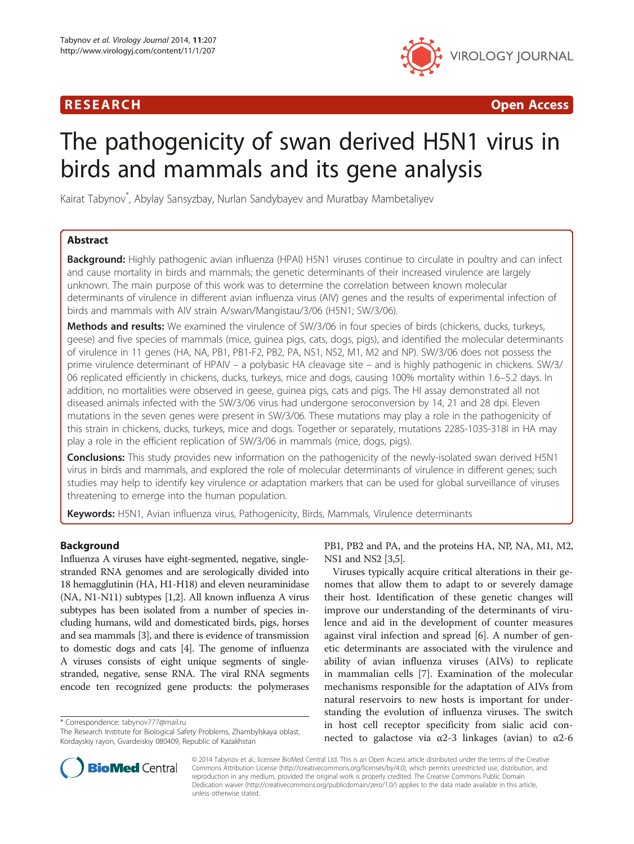## R E S EAR CH Open Access



# The pathogenicity of swan derived H5N1 virus in birds and mammals and its gene analysis

Kairat Tabynov\* , Abylay Sansyzbay, Nurlan Sandybayev and Muratbay Mambetaliyev

## Abstract

Background: Highly pathogenic avian influenza (HPAI) H5N1 viruses continue to circulate in poultry and can infect and cause mortality in birds and mammals; the genetic determinants of their increased virulence are largely unknown. The main purpose of this work was to determine the correlation between known molecular determinants of virulence in different avian influenza virus (AIV) genes and the results of experimental infection of birds and mammals with AIV strain A/swan/Mangistau/3/06 (H5N1; SW/3/06).

Methods and results: We examined the virulence of SW/3/06 in four species of birds (chickens, ducks, turkeys, geese) and five species of mammals (mice, guinea pigs, cats, dogs, pigs), and identified the molecular determinants of virulence in 11 genes (HA, NA, PB1, PB1-F2, PB2, PA, NS1, NS2, M1, M2 and NP). SW/3/06 does not possess the prime virulence determinant of HPAIV – a polybasic HA cleavage site – and is highly pathogenic in chickens. SW/3/ 06 replicated efficiently in chickens, ducks, turkeys, mice and dogs, causing 100% mortality within 1.6–5.2 days. In addition, no mortalities were observed in geese, guinea pigs, cats and pigs. The HI assay demonstrated all not diseased animals infected with the SW/3/06 virus had undergone seroconversion by 14, 21 and 28 dpi. Eleven mutations in the seven genes were present in SW/3/06. These mutations may play a role in the pathogenicity of this strain in chickens, ducks, turkeys, mice and dogs. Together or separately, mutations 228S-103S-318I in HA may play a role in the efficient replication of SW/3/06 in mammals (mice, dogs, pigs).

**Conclusions:** This study provides new information on the pathogenicity of the newly-isolated swan derived H5N1 virus in birds and mammals, and explored the role of molecular determinants of virulence in different genes; such studies may help to identify key virulence or adaptation markers that can be used for global surveillance of viruses threatening to emerge into the human population.

Keywords: H5N1, Avian influenza virus, Pathogenicity, Birds, Mammals, Virulence determinants

## Background

Influenza A viruses have eight-segmented, negative, singlestranded RNA genomes and are serologically divided into 18 hemagglutinin (HA, H1-H18) and eleven neuraminidase (NA, N1-N11) subtypes [\[1,2](#page-10-0)]. All known influenza A virus subtypes has been isolated from a number of species including humans, wild and domesticated birds, pigs, horses and sea mammals [[3](#page-10-0)], and there is evidence of transmission to domestic dogs and cats [[4\]](#page-10-0). The genome of influenza A viruses consists of eight unique segments of singlestranded, negative, sense RNA. The viral RNA segments encode ten recognized gene products: the polymerases

\* Correspondence: [tabynov777@mail.ru](mailto:tabynov777@mail.ru)



Viruses typically acquire critical alterations in their genomes that allow them to adapt to or severely damage their host. Identification of these genetic changes will improve our understanding of the determinants of virulence and aid in the development of counter measures against viral infection and spread [\[6](#page-10-0)]. A number of genetic determinants are associated with the virulence and ability of avian influenza viruses (AIVs) to replicate in mammalian cells [\[7](#page-11-0)]. Examination of the molecular mechanisms responsible for the adaptation of AIVs from natural reservoirs to new hosts is important for understanding the evolution of influenza viruses. The switch in host cell receptor specificity from sialic acid connected to galactose via  $α2-3$  linkages (avian) to  $α2-6$ 



© 2014 Tabynov et al.; licensee BioMed Central Ltd. This is an Open Access article distributed under the terms of the Creative Commons Attribution License [\(http://creativecommons.org/licenses/by/4.0\)](http://creativecommons.org/licenses/by/4.0), which permits unrestricted use, distribution, and reproduction in any medium, provided the original work is properly credited. The Creative Commons Public Domain Dedication waiver [\(http://creativecommons.org/publicdomain/zero/1.0/](http://creativecommons.org/publicdomain/zero/1.0/)) applies to the data made available in this article, unless otherwise stated.

The Research Institute for Biological Safety Problems, Zhambylskaya oblast, Kordayskiy rayon, Gvardeiskiy 080409, Republic of Kazakhstan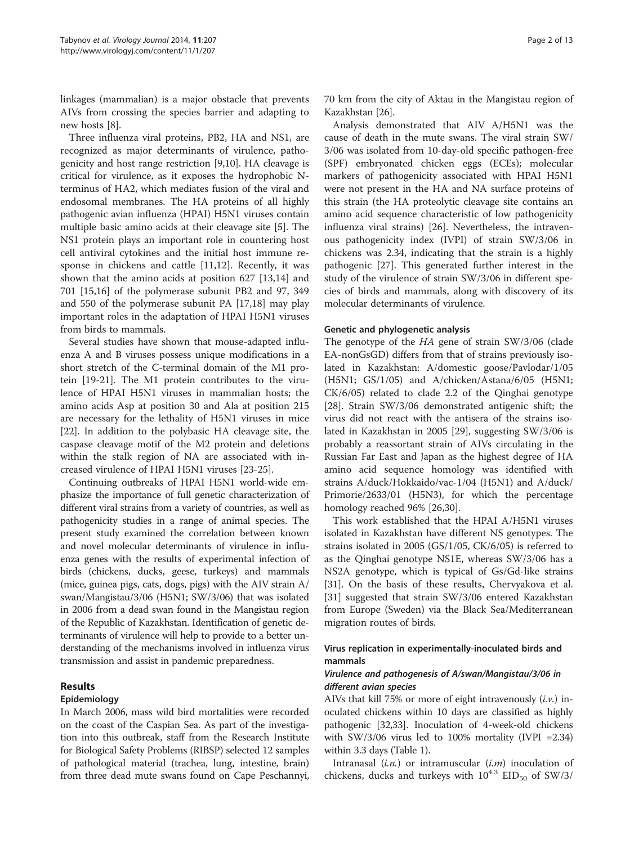linkages (mammalian) is a major obstacle that prevents AIVs from crossing the species barrier and adapting to new hosts [[8\]](#page-11-0).

Three influenza viral proteins, PB2, HA and NS1, are recognized as major determinants of virulence, pathogenicity and host range restriction [\[9,10](#page-11-0)]. HA cleavage is critical for virulence, as it exposes the hydrophobic Nterminus of HA2, which mediates fusion of the viral and endosomal membranes. The HA proteins of all highly pathogenic avian influenza (HPAI) H5N1 viruses contain multiple basic amino acids at their cleavage site [[5\]](#page-10-0). The NS1 protein plays an important role in countering host cell antiviral cytokines and the initial host immune response in chickens and cattle [\[11,12](#page-11-0)]. Recently, it was shown that the amino acids at position 627 [[13,14\]](#page-11-0) and 701 [[15,16](#page-11-0)] of the polymerase subunit PB2 and 97, 349 and 550 of the polymerase subunit PA [[17,18\]](#page-11-0) may play important roles in the adaptation of HPAI H5N1 viruses from birds to mammals.

Several studies have shown that mouse-adapted influenza A and B viruses possess unique modifications in a short stretch of the C-terminal domain of the M1 protein [\[19](#page-11-0)-[21\]](#page-11-0). The M1 protein contributes to the virulence of HPAI H5N1 viruses in mammalian hosts; the amino acids Asp at position 30 and Ala at position 215 are necessary for the lethality of H5N1 viruses in mice [[22\]](#page-11-0). In addition to the polybasic HA cleavage site, the caspase cleavage motif of the M2 protein and deletions within the stalk region of NA are associated with increased virulence of HPAI H5N1 viruses [[23-25\]](#page-11-0).

Continuing outbreaks of HPAI H5N1 world-wide emphasize the importance of full genetic characterization of different viral strains from a variety of countries, as well as pathogenicity studies in a range of animal species. The present study examined the correlation between known and novel molecular determinants of virulence in influenza genes with the results of experimental infection of birds (chickens, ducks, geese, turkeys) and mammals (mice, guinea pigs, cats, dogs, pigs) with the AIV strain A/ swan/Mangistau/3/06 (H5N1; SW/3/06) that was isolated in 2006 from a dead swan found in the Mangistau region of the Republic of Kazakhstan. Identification of genetic determinants of virulence will help to provide to a better understanding of the mechanisms involved in influenza virus transmission and assist in pandemic preparedness.

## Results

## Epidemiology

In March 2006, mass wild bird mortalities were recorded on the coast of the Caspian Sea. As part of the investigation into this outbreak, staff from the Research Institute for Biological Safety Problems (RIBSP) selected 12 samples of pathological material (trachea, lung, intestine, brain) from three dead mute swans found on Cape Peschannyi, 70 km from the city of Aktau in the Mangistau region of Kazakhstan [\[26\]](#page-11-0).

Analysis demonstrated that AIV A/H5N1 was the cause of death in the mute swans. The viral strain SW/ 3/06 was isolated from 10-day-old specific pathogen-free (SPF) embryonated chicken eggs (ECEs); molecular markers of pathogenicity associated with HPAI H5N1 were not present in the HA and NA surface proteins of this strain (the HA proteolytic cleavage site contains an amino acid sequence characteristic of low pathogenicity influenza viral strains) [[26\]](#page-11-0). Nevertheless, the intravenous pathogenicity index (IVPI) of strain SW/3/06 in chickens was 2.34, indicating that the strain is a highly pathogenic [\[27](#page-11-0)]. This generated further interest in the study of the virulence of strain SW/3/06 in different species of birds and mammals, along with discovery of its molecular determinants of virulence.

## Genetic and phylogenetic analysis

The genotype of the HA gene of strain SW/3/06 (clade EA-nonGsGD) differs from that of strains previously isolated in Kazakhstan: A/domestic goose/Pavlodar/1/05 (H5N1; GS/1/05) and A/chicken/Astana/6/05 (H5N1; CK/6/05) related to clade 2.2 of the Qinghai genotype [[28\]](#page-11-0). Strain SW/3/06 demonstrated antigenic shift; the virus did not react with the antisera of the strains isolated in Kazakhstan in 2005 [\[29](#page-11-0)], suggesting SW/3/06 is probably a reassortant strain of AIVs circulating in the Russian Far East and Japan as the highest degree of HA amino acid sequence homology was identified with strains A/duck/Hokkaido/vac-1/04 (H5N1) and A/duck/ Primorie/2633/01 (H5N3), for which the percentage homology reached 96% [[26,30](#page-11-0)].

This work established that the HPAI A/H5N1 viruses isolated in Kazakhstan have different NS genotypes. The strains isolated in 2005 (GS/1/05, CK/6/05) is referred to as the Qinghai genotype NS1E, whereas SW/3/06 has a NS2A genotype, which is typical of Gs/Gd-like strains [[31\]](#page-11-0). On the basis of these results, Chervyakova et al. [[31\]](#page-11-0) suggested that strain SW/3/06 entered Kazakhstan from Europe (Sweden) via the Black Sea/Mediterranean migration routes of birds.

## Virus replication in experimentally-inoculated birds and mammals

## Virulence and pathogenesis of A/swan/Mangistau/3/06 in different avian species

AIVs that kill 75% or more of eight intravenously  $(i.\nu)$  inoculated chickens within 10 days are classified as highly pathogenic [\[32,33](#page-11-0)]. Inoculation of 4-week-old chickens with  $SW/3/06$  virus led to 100% mortality (IVPI = 2.34) within 3.3 days (Table [1](#page-2-0)).

Intranasal  $(i.n.)$  or intramuscular  $(i.m)$  inoculation of chickens, ducks and turkeys with  $10^{4.3}$  EID<sub>50</sub> of SW/3/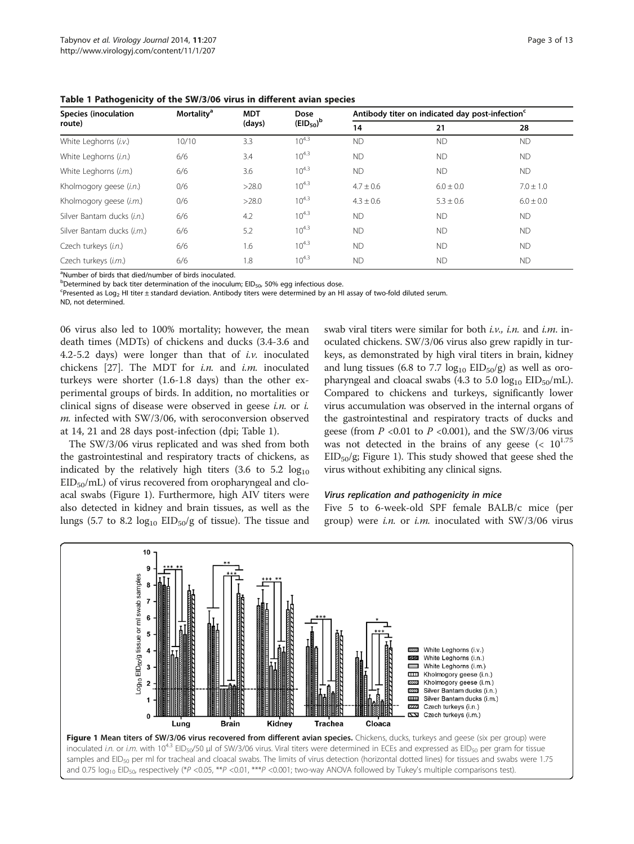<span id="page-2-0"></span>Table 1 Pathogenicity of the SW/3/06 virus in different avian species

| <b>Species (inoculation</b>      | <b>Mortality<sup>a</sup></b> | <b>MDT</b><br>(days) | Dose<br>$(EID_{50})^b$ | Antibody titer on indicated day post-infection <sup>c</sup> |               |               |  |
|----------------------------------|------------------------------|----------------------|------------------------|-------------------------------------------------------------|---------------|---------------|--|
| route)                           |                              |                      |                        | 14                                                          | 21            | 28            |  |
| White Leghorns (i.v.)            | 10/10                        | 3.3                  | $10^{4.3}$             | <b>ND</b>                                                   | <b>ND</b>     | <b>ND</b>     |  |
| White Leghorns (i.n.)            | 6/6                          | 3.4                  | $10^{4.3}$             | <b>ND</b>                                                   | <b>ND</b>     | <b>ND</b>     |  |
| White Leghorns (i.m.)            | 6/6                          | 3.6                  | $10^{4.3}$             | <b>ND</b>                                                   | <b>ND</b>     | <b>ND</b>     |  |
| Kholmogory geese (i.n.)          | 0/6                          | >28.0                | $10^{4.3}$             | $4.7 \pm 0.6$                                               | $6.0 \pm 0.0$ | $7.0 \pm 1.0$ |  |
| Kholmogory geese ( <i>i.m.</i> ) | 0/6                          | >28.0                | $10^{4.3}$             | $4.3 \pm 0.6$                                               | $5.3 \pm 0.6$ | $6.0 \pm 0.0$ |  |
| Silver Bantam ducks (i.n.)       | 6/6                          | 4.2                  | $10^{4.3}$             | <b>ND</b>                                                   | <b>ND</b>     | <b>ND</b>     |  |
| Silver Bantam ducks (i.m.)       | 6/6                          | 5.2                  | $10^{4.3}$             | <b>ND</b>                                                   | <b>ND</b>     | <b>ND</b>     |  |
| Czech turkeys (i.n.)             | 6/6                          | 1.6                  | $10^{4.3}$             | <b>ND</b>                                                   | <b>ND</b>     | <b>ND</b>     |  |
| Czech turkeys (i.m.)             | 6/6                          | 1.8                  | $10^{4.3}$             | <b>ND</b>                                                   | <b>ND</b>     | <b>ND</b>     |  |

<sup>a</sup>Number of birds that died/number of birds inoculated.

b<br> **Determined by back titer determination of the inoculum; EID<sub>50</sub>, 50% egg infectious dose.**<br> **Spresented as Log. HI titer + standard deviation. Antibody titers were determined by an H** 

Presented as Log2 HI titer ± standard deviation. Antibody titers were determined by an HI assay of two-fold diluted serum. ND, not determined.

06 virus also led to 100% mortality; however, the mean death times (MDTs) of chickens and ducks (3.4-3.6 and 4.2-5.2 days) were longer than that of  $i.\nu$ . inoculated chickens [[27](#page-11-0)]. The MDT for  $i.n$  and  $i.m$  inoculated turkeys were shorter (1.6-1.8 days) than the other experimental groups of birds. In addition, no mortalities or clinical signs of disease were observed in geese *i.n.* or  $i$ . m. infected with SW/3/06, with seroconversion observed at 14, 21 and 28 days post-infection (dpi; Table 1).

The SW/3/06 virus replicated and was shed from both the gastrointestinal and respiratory tracts of chickens, as indicated by the relatively high titers  $(3.6 \text{ to } 5.2 \text{ log}_{10})$  $EID<sub>50</sub>/mL$ ) of virus recovered from oropharyngeal and cloacal swabs (Figure 1). Furthermore, high AIV titers were also detected in kidney and brain tissues, as well as the lungs (5.7 to 8.2  $log_{10}$  EID<sub>50</sub>/g of tissue). The tissue and

swab viral titers were similar for both  $i.v.$ ,  $i.n.$  and  $i.m.$  inoculated chickens. SW/3/06 virus also grew rapidly in turkeys, as demonstrated by high viral titers in brain, kidney and lung tissues (6.8 to 7.7  $log_{10} EID_{50}/g$ ) as well as oropharyngeal and cloacal swabs (4.3 to 5.0  $log_{10} EID_{50}/mL$ ). Compared to chickens and turkeys, significantly lower virus accumulation was observed in the internal organs of the gastrointestinal and respiratory tracts of ducks and geese (from  $P$  <0.01 to  $P$  <0.001), and the SW/3/06 virus was not detected in the brains of any geese  $\left($  <  $10^{1.75}$  $EID_{50}/g$ ; Figure 1). This study showed that geese shed the virus without exhibiting any clinical signs.

#### Virus replication and pathogenicity in mice

Five 5 to 6-week-old SPF female BALB/c mice (per group) were *i.n.* or *i.m.* inoculated with  $SW/3/06$  virus

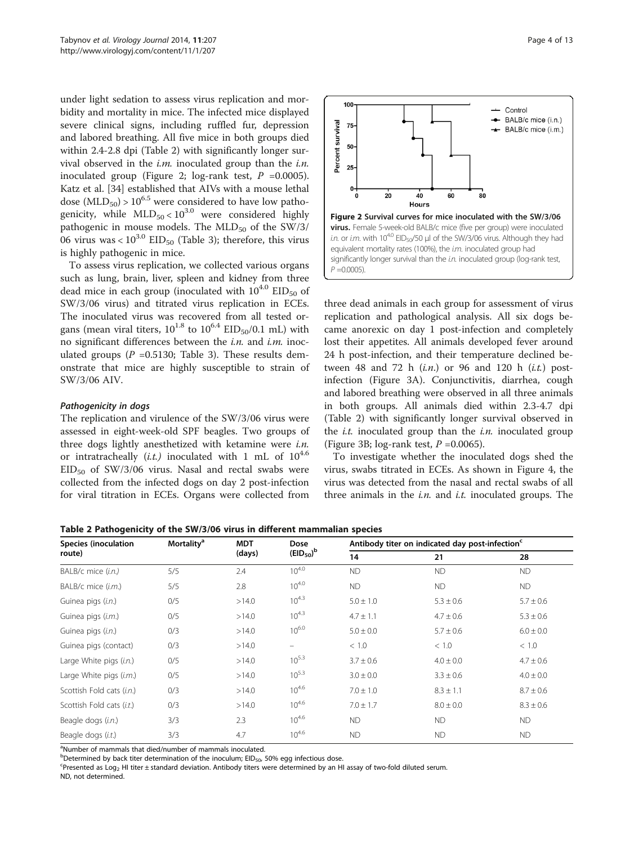<span id="page-3-0"></span>under light sedation to assess virus replication and morbidity and mortality in mice. The infected mice displayed severe clinical signs, including ruffled fur, depression and labored breathing. All five mice in both groups died within 2.4-2.8 dpi (Table 2) with significantly longer survival observed in the  $i.m.$  inoculated group than the  $i.n.$ inoculated group (Figure 2; log-rank test,  $P = 0.0005$ ). Katz et al. [\[34\]](#page-11-0) established that AIVs with a mouse lethal dose ( $MLD_{50}$ ) > 10<sup>6.5</sup> were considered to have low pathogenicity, while  $MLD_{50} < 10^{3.0}$  were considered highly pathogenic in mouse models. The  $MLD_{50}$  of the SW/3/ 06 virus was <  $10^{3.0}$  EID<sub>50</sub> (Table [3\)](#page-4-0); therefore, this virus is highly pathogenic in mice.

To assess virus replication, we collected various organs such as lung, brain, liver, spleen and kidney from three dead mice in each group (inoculated with  $10^{4.0}$  EID<sub>50</sub> of SW/3/06 virus) and titrated virus replication in ECEs. The inoculated virus was recovered from all tested organs (mean viral titers,  $10^{1.8}$  to  $10^{6.4}$  EID<sub>50</sub>/0.1 mL) with no significant differences between the  $i.n$ . and  $i.m$ . inoculated groups ( $P = 0.5130$ ; Table [3](#page-4-0)). These results demonstrate that mice are highly susceptible to strain of SW/3/06 AIV.

#### Pathogenicity in dogs

The replication and virulence of the SW/3/06 virus were assessed in eight-week-old SPF beagles. Two groups of three dogs lightly anesthetized with ketamine were *i.n.* or intratracheally  $(i.t.)$  inoculated with 1 mL of  $10^{4.6}$  $EID_{50}$  of SW/3/06 virus. Nasal and rectal swabs were collected from the infected dogs on day 2 post-infection for viral titration in ECEs. Organs were collected from



three dead animals in each group for assessment of virus replication and pathological analysis. All six dogs became anorexic on day 1 post-infection and completely lost their appetites. All animals developed fever around 24 h post-infection, and their temperature declined between 48 and 72 h  $(i.n.)$  or 96 and 120 h  $(i.t.)$  postinfection (Figure [3](#page-4-0)A). Conjunctivitis, diarrhea, cough and labored breathing were observed in all three animals in both groups. All animals died within 2.3-4.7 dpi (Table 2) with significantly longer survival observed in the *i.t.* inoculated group than the *i.n.* inoculated group (Figure [3B](#page-4-0); log-rank test,  $P = 0.0065$ ).

To investigate whether the inoculated dogs shed the virus, swabs titrated in ECEs. As shown in Figure [4](#page-5-0), the virus was detected from the nasal and rectal swabs of all three animals in the  $i.n$ . and  $i.t.$  inoculated groups. The

Table 2 Pathogenicity of the SW/3/06 virus in different mammalian species

| <b>Species (inoculation</b><br>route) | <b>Mortality<sup>a</sup></b> | <b>MDT</b> | Dose           | Antibody titer on indicated day post-infection <sup>c</sup> |               |               |  |
|---------------------------------------|------------------------------|------------|----------------|-------------------------------------------------------------|---------------|---------------|--|
|                                       |                              | (days)     | $(EID_{50})^b$ | 14                                                          | 21            | 28            |  |
| BALB/c mice (i.n.)                    | 5/5                          | 2.4        | $10^{4.0}$     | <b>ND</b>                                                   | <b>ND</b>     | <b>ND</b>     |  |
| BALB/c mice (i.m.)                    | 5/5                          | 2.8        | $10^{4.0}$     | <b>ND</b>                                                   | <b>ND</b>     | <b>ND</b>     |  |
| Guinea pigs (i.n.)                    | 0/5                          | >14.0      | $10^{4.3}$     | $5.0 \pm 1.0$                                               | $5.3 \pm 0.6$ | $5.7 \pm 0.6$ |  |
| Guinea pigs (i.m.)                    | 0/5                          | >14.0      | $10^{4.3}$     | $4.7 \pm 1.1$                                               | $4.7 \pm 0.6$ | $5.3 \pm 0.6$ |  |
| Guinea pigs (i.n.)                    | 0/3                          | >14.0      | $10^{6.0}$     | $5.0 \pm 0.0$                                               | $5.7 \pm 0.6$ | $6.0 \pm 0.0$ |  |
| Guinea pigs (contact)                 | 0/3                          | >14.0      |                | < 1.0                                                       | < 1.0         | < 1.0         |  |
| Large White pigs (i.n.)               | 0/5                          | >14.0      | $10^{5.3}$     | $3.7 \pm 0.6$                                               | $4.0 \pm 0.0$ | $4.7 \pm 0.6$ |  |
| Large White pigs (i.m.)               | 0/5                          | >14.0      | $10^{5.3}$     | $3.0 \pm 0.0$                                               | $3.3 \pm 0.6$ | $4.0 \pm 0.0$ |  |
| Scottish Fold cats (i.n.)             | 0/3                          | >14.0      | $10^{4.6}$     | $7.0 \pm 1.0$                                               | $8.3 \pm 1.1$ | $8.7 \pm 0.6$ |  |
| Scottish Fold cats (i.t.)             | 0/3                          | >14.0      | $10^{4.6}$     | $7.0 \pm 1.7$                                               | $8.0 \pm 0.0$ | $8.3 \pm 0.6$ |  |
| Beagle dogs (i.n.)                    | 3/3                          | 2.3        | $10^{4.6}$     | <b>ND</b>                                                   | <b>ND</b>     | <b>ND</b>     |  |
| Beagle dogs (i.t.)                    | 3/3                          | 4.7        | $10^{4.6}$     | <b>ND</b>                                                   | <b>ND</b>     | <b>ND</b>     |  |

<sup>a</sup>Number of mammals that died/number of mammals inoculated.

b<br> **Determined by back titer determination of the inoculum; EID<sub>50</sub>, 50% egg infectious dose.**<br>
Careconted as Log. Hi titer + standard doviation. Aptibody titers were determined by an H

 $P$ resented as Log<sub>2</sub> HI titer ± standard deviation. Antibody titers were determined by an HI assay of two-fold diluted serum. ND, not determined.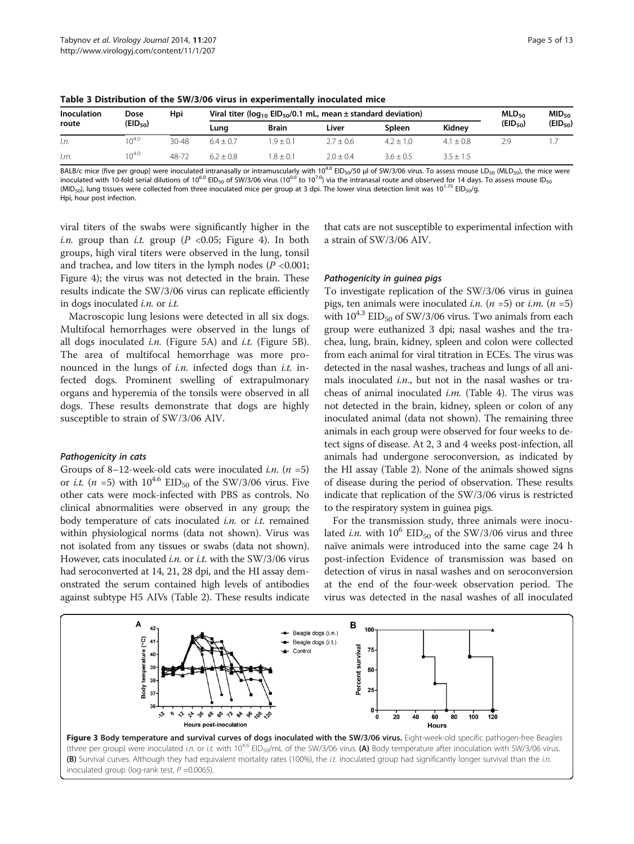| Inoculation<br>route | Dose         | Hpi   |             | Viral titer ( $log_{10}$ EID <sub>50</sub> /0.1 mL, mean $\pm$ standard deviation) |               |               |               |              | MID <sub>50</sub> |
|----------------------|--------------|-------|-------------|------------------------------------------------------------------------------------|---------------|---------------|---------------|--------------|-------------------|
|                      | $(EID_{50})$ |       | Lung        | <b>Brain</b>                                                                       | Liver         | <b>Spleen</b> | Kidnev        | $(EID_{50})$ | $(EID_{50})$      |
| I.n.                 | $10^{4.0}$   | 30-48 | $6.4 + 0.7$ | $.9 \pm 0.1$                                                                       | $2.7 \pm 0.6$ | $4.2 + 1.0$   | $4.1 + 0.8$   | 2.9          |                   |
| I.m.                 | $10^{4.0}$   | 48-72 | $6.2 + 0.8$ | $-8 + 0.1$                                                                         | $2.0 + 0.4$   | $3.6 \pm 0.5$ | $3.5 \pm 1.5$ |              |                   |

<span id="page-4-0"></span>Table 3 Distribution of the SW/3/06 virus in experimentally inoculated mice

BALB/c mice (five per group) were inoculated intranasally or intramuscularly with 10<sup>4.0</sup> EID<sub>50</sub>/50 µl of SW/3/06 virus. To assess mouse LD<sub>50</sub> (MLD<sub>50</sub>), the mice were inoculated with 10-fold serial dilutions of 10<sup>6.0</sup> EID<sub>50</sub> of SW/3/06 virus (10<sup>0.0</sup> to 10<sup>7.0</sup>) via the intranasal route and observed for 14 days. To assess mouse ID<sub>50</sub> (MID<sub>50</sub>), lung tissues were collected from three inoculated mice per group at 3 dpi. The lower virus detection limit was  $10^{1.75}$  EID<sub>50</sub>/g. Hpi, hour post infection.

viral titers of the swabs were significantly higher in the i.n. group than i.t. group ( $P < 0.05$ ; Figure [4](#page-5-0)). In both groups, high viral titers were observed in the lung, tonsil and trachea, and low titers in the lymph nodes ( $P < 0.001$ ; Figure [4](#page-5-0)); the virus was not detected in the brain. These results indicate the SW/3/06 virus can replicate efficiently in dogs inoculated  $i.n$ . or  $i.t.$ 

Macroscopic lung lesions were detected in all six dogs. Multifocal hemorrhages were observed in the lungs of all dogs inoculated *i.n.* (Figure [5A](#page-5-0)) and *i.t.* (Figure [5](#page-5-0)B). The area of multifocal hemorrhage was more pronounced in the lungs of *i.n.* infected dogs than *i.t.* infected dogs. Prominent swelling of extrapulmonary organs and hyperemia of the tonsils were observed in all dogs. These results demonstrate that dogs are highly susceptible to strain of SW/3/06 AIV.

#### Pathogenicity in cats

Groups of 8–12-week-old cats were inoculated *i.n.*  $(n = 5)$ or *i.t.* (*n* =5) with  $10^{4.6}$  EID<sub>50</sub> of the SW/3/06 virus. Five other cats were mock-infected with PBS as controls. No clinical abnormalities were observed in any group; the body temperature of cats inoculated  $i.n.$  or  $i.t.$  remained within physiological norms (data not shown). Virus was not isolated from any tissues or swabs (data not shown). However, cats inoculated *i.n.* or *i.t.* with the  $SW/3/06$  virus had seroconverted at 14, 21, 28 dpi, and the HI assay demonstrated the serum contained high levels of antibodies against subtype H5 AIVs (Table [2\)](#page-3-0). These results indicate that cats are not susceptible to experimental infection with a strain of SW/3/06 AIV.

#### Pathogenicity in guinea pigs

To investigate replication of the SW/3/06 virus in guinea pigs, ten animals were inoculated *i.n.*  $(n = 5)$  or *i.m.*  $(n = 5)$ with  $10^{4.3}$  EID<sub>50</sub> of SW/3/06 virus. Two animals from each group were euthanized 3 dpi; nasal washes and the trachea, lung, brain, kidney, spleen and colon were collected from each animal for viral titration in ECEs. The virus was detected in the nasal washes, tracheas and lungs of all animals inoculated  $i.n$ , but not in the nasal washes or tracheas of animal inoculated  $i.m.$  (Table [4](#page-6-0)). The virus was not detected in the brain, kidney, spleen or colon of any inoculated animal (data not shown). The remaining three animals in each group were observed for four weeks to detect signs of disease. At 2, 3 and 4 weeks post-infection, all animals had undergone seroconversion, as indicated by the HI assay (Table [2](#page-3-0)). None of the animals showed signs of disease during the period of observation. These results indicate that replication of the SW/3/06 virus is restricted to the respiratory system in guinea pigs.

For the transmission study, three animals were inoculated *i.n.* with  $10^6$  EID<sub>50</sub> of the SW/3/06 virus and three naïve animals were introduced into the same cage 24 h post-infection Evidence of transmission was based on detection of virus in nasal washes and on seroconversion at the end of the four-week observation period. The virus was detected in the nasal washes of all inoculated



inoculated group (log-rank test,  $P = 0.0065$ ).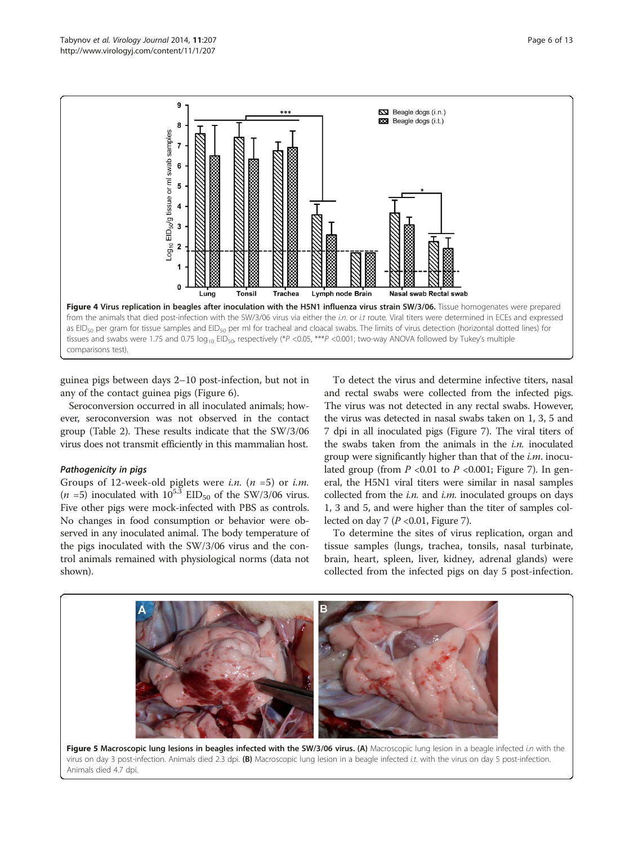<span id="page-5-0"></span>

guinea pigs between days 2–10 post-infection, but not in any of the contact guinea pigs (Figure [6](#page-6-0)).

Seroconversion occurred in all inoculated animals; however, seroconversion was not observed in the contact group (Table [2](#page-3-0)). These results indicate that the SW/3/06 virus does not transmit efficiently in this mammalian host.

#### Pathogenicity in pigs

Groups of 12-week-old piglets were *i.n.*  $(n = 5)$  or *i.m.*  $(n = 5)$  inoculated with  $10^{5.3}$  EID<sub>50</sub> of the SW/3/06 virus. Five other pigs were mock-infected with PBS as controls. No changes in food consumption or behavior were observed in any inoculated animal. The body temperature of the pigs inoculated with the SW/3/06 virus and the control animals remained with physiological norms (data not shown).

To detect the virus and determine infective titers, nasal and rectal swabs were collected from the infected pigs. The virus was not detected in any rectal swabs. However, the virus was detected in nasal swabs taken on 1, 3, 5 and 7 dpi in all inoculated pigs (Figure [7\)](#page-6-0). The viral titers of the swabs taken from the animals in the  $i.n.$  inoculated group were significantly higher than that of the  $i.m.$  inoculated group (from  $P \le 0.01$  to  $P \le 0.001$ ; Figure [7](#page-6-0)). In general, the H5N1 viral titers were similar in nasal samples collected from the *i.n.* and *i.m.* inoculated groups on days 1, 3 and 5, and were higher than the titer of samples col-lected on day [7](#page-6-0) ( $P$  <0.01, Figure 7).

To determine the sites of virus replication, organ and tissue samples (lungs, trachea, tonsils, nasal turbinate, brain, heart, spleen, liver, kidney, adrenal glands) were collected from the infected pigs on day 5 post-infection.

![](_page_5_Figure_8.jpeg)

virus on day 3 post-infection. Animals died 2.3 dpi. (B) Macroscopic lung lesion in a beagle infected *i.t.* with the virus on day 5 post-infection. Animals died 4.7 dpi.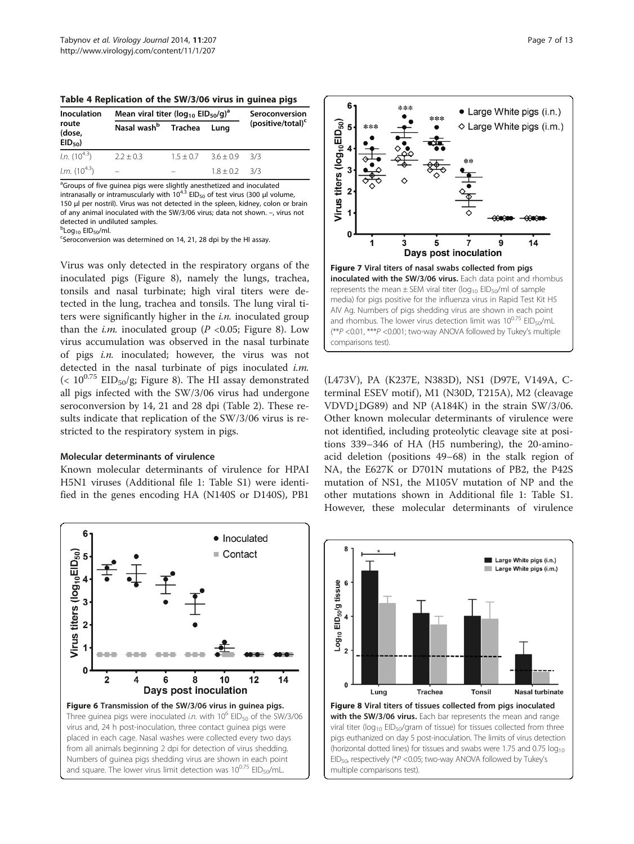<span id="page-6-0"></span>

| Table 4 Replication of the SW/3/06 virus in guinea pigs |  |  |  |  |
|---------------------------------------------------------|--|--|--|--|
|---------------------------------------------------------|--|--|--|--|

| Inoculation<br>route<br>(dose,<br>$EID_{50}$ | Mean viral titer ( $log_{10}$ EID <sub>50</sub> /g) <sup>a</sup> | Seroconversion |                   |                               |
|----------------------------------------------|------------------------------------------------------------------|----------------|-------------------|-------------------------------|
|                                              | Nasal wash <sup>b</sup> Trachea                                  |                | Luna              | (positive/total) <sup>c</sup> |
| <i>l.n.</i> $(10^{4.3})$                     | $2.2 + 0.3$                                                      | $1.5 + 0.7$    | $3.6 + 0.9$ $3/3$ |                               |
| <i>l.m.</i> $(10^{4.3})$                     | $\equiv$                                                         |                | $1.8 + 0.2$ $3/3$ |                               |

<sup>a</sup>Groups of five guinea pigs were slightly anesthetized and inoculated<br>intranasally or intramuscularly with 10<sup>4.3</sup> EID<sub>50</sub> of test virus (300 μl volume, 150 μl per nostril). Virus was not detected in the spleen, kidney, colon or brain of any animal inoculated with the SW/3/06 virus; data not shown. –, virus not detected in undiluted samples.

<sup>b</sup>Log<sub>10</sub> EID<sub>50</sub>/ml.<br><sup>c</sup>Seroconversion

Seroconversion was determined on 14, 21, 28 dpi by the HI assay.

Virus was only detected in the respiratory organs of the inoculated pigs (Figure 8), namely the lungs, trachea, tonsils and nasal turbinate; high viral titers were detected in the lung, trachea and tonsils. The lung viral titers were significantly higher in the  $i.n$  inoculated group than the *i.m.* inoculated group ( $P$  <0.05; Figure 8). Low virus accumulation was observed in the nasal turbinate of pigs i.n. inoculated; however, the virus was not detected in the nasal turbinate of pigs inoculated  $i.m$ . (<  $10^{0.75}$  EID<sub>50</sub>/g; Figure 8). The HI assay demonstrated all pigs infected with the SW/3/06 virus had undergone seroconversion by 14, 21 and 28 dpi (Table [2\)](#page-3-0). These results indicate that replication of the SW/3/06 virus is restricted to the respiratory system in pigs.

#### Molecular determinants of virulence

Known molecular determinants of virulence for HPAI H5N1 viruses (Additional file [1](#page-10-0): Table S1) were identified in the genes encoding HA (N140S or D140S), PB1

![](_page_6_Figure_9.jpeg)

![](_page_6_Figure_10.jpeg)

(L473V), PA (K237E, N383D), NS1 (D97E, V149A, Cterminal ESEV motif), M1 (N30D, T215A), M2 (cleavage VDVD↓DG89) and NP (A184K) in the strain SW/3/06. Other known molecular determinants of virulence were not identified, including proteolytic cleavage site at positions 339–346 of HA (H5 numbering), the 20-aminoacid deletion (positions 49–68) in the stalk region of NA, the E627K or D701N mutations of PB2, the P42S mutation of NS1, the M105V mutation of NP and the other mutations shown in Additional file [1](#page-10-0): Table S1. However, these molecular determinants of virulence

![](_page_6_Figure_12.jpeg)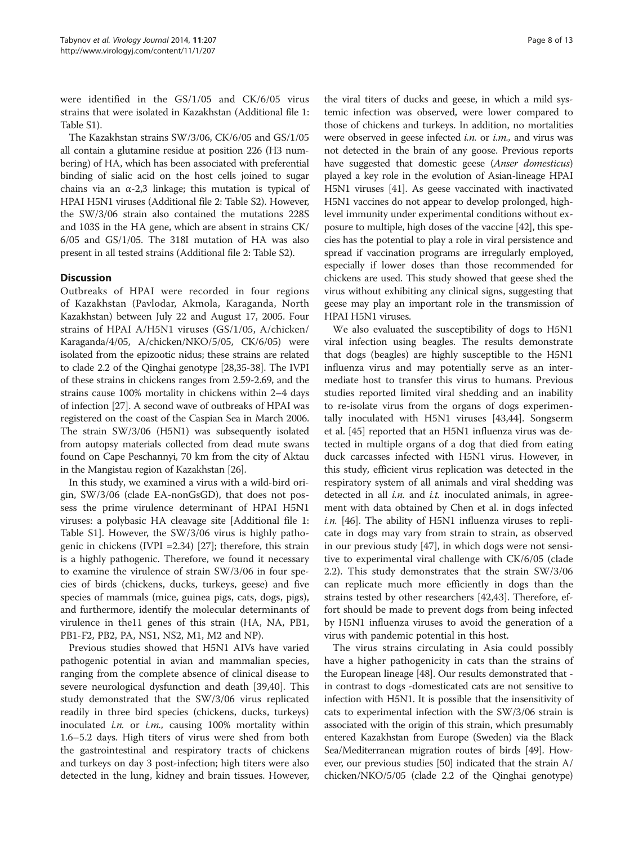were identified in the GS/1/05 and CK/6/05 virus strains that were isolated in Kazakhstan (Additional file [1](#page-10-0): Table S1).

The Kazakhstan strains SW/3/06, CK/6/05 and GS/1/05 all contain a glutamine residue at position 226 (H3 numbering) of HA, which has been associated with preferential binding of sialic acid on the host cells joined to sugar chains via an  $\alpha$ -2,3 linkage; this mutation is typical of HPAI H5N1 viruses (Additional file [2:](#page-10-0) Table S2). However, the SW/3/06 strain also contained the mutations 228S and 103S in the HA gene, which are absent in strains CK/ 6/05 and GS/1/05. The 318I mutation of HA was also present in all tested strains (Additional file [2](#page-10-0): Table S2).

## **Discussion**

Outbreaks of HPAI were recorded in four regions of Kazakhstan (Pavlodar, Akmola, Karaganda, North Kazakhstan) between July 22 and August 17, 2005. Four strains of HPAI A/H5N1 viruses (GS/1/05, A/chicken/ Karaganda/4/05, A/chicken/NKO/5/05, CK/6/05) were isolated from the epizootic nidus; these strains are related to clade 2.2 of the Qinghai genotype [\[28,35-38\]](#page-11-0). The IVPI of these strains in chickens ranges from 2.59-2.69, and the strains cause 100% mortality in chickens within 2–4 days of infection [\[27\]](#page-11-0). A second wave of outbreaks of HPAI was registered on the coast of the Caspian Sea in March 2006. The strain SW/3/06 (H5N1) was subsequently isolated from autopsy materials collected from dead mute swans found on Cape Peschannyi, 70 km from the city of Aktau in the Mangistau region of Kazakhstan [[26](#page-11-0)].

In this study, we examined a virus with a wild-bird origin, SW/3/06 (clade EA-nonGsGD), that does not possess the prime virulence determinant of HPAI H5N1 viruses: a polybasic HA cleavage site [Additional file [1](#page-10-0): Table S1]. However, the SW/3/06 virus is highly pathogenic in chickens (IVPI =2.34) [[27](#page-11-0)]; therefore, this strain is a highly pathogenic. Therefore, we found it necessary to examine the virulence of strain SW/3/06 in four species of birds (chickens, ducks, turkeys, geese) and five species of mammals (mice, guinea pigs, cats, dogs, pigs), and furthermore, identify the molecular determinants of virulence in the11 genes of this strain (HA, NA, PB1, PB1-F2, PB2, PA, NS1, NS2, M1, M2 and NP).

Previous studies showed that H5N1 AIVs have varied pathogenic potential in avian and mammalian species, ranging from the complete absence of clinical disease to severe neurological dysfunction and death [\[39,40\]](#page-11-0). This study demonstrated that the SW/3/06 virus replicated readily in three bird species (chickens, ducks, turkeys) inoculated *i.n.* or *i.m.*, causing  $100\%$  mortality within 1.6–5.2 days. High titers of virus were shed from both the gastrointestinal and respiratory tracts of chickens and turkeys on day 3 post-infection; high titers were also detected in the lung, kidney and brain tissues. However,

the viral titers of ducks and geese, in which a mild systemic infection was observed, were lower compared to those of chickens and turkeys. In addition, no mortalities were observed in geese infected *i.n.* or *i.m.*, and virus was not detected in the brain of any goose. Previous reports have suggested that domestic geese (Anser domesticus) played a key role in the evolution of Asian-lineage HPAI H5N1 viruses [\[41\]](#page-11-0). As geese vaccinated with inactivated H5N1 vaccines do not appear to develop prolonged, highlevel immunity under experimental conditions without exposure to multiple, high doses of the vaccine [[42](#page-11-0)], this species has the potential to play a role in viral persistence and spread if vaccination programs are irregularly employed, especially if lower doses than those recommended for chickens are used. This study showed that geese shed the virus without exhibiting any clinical signs, suggesting that geese may play an important role in the transmission of HPAI H5N1 viruses.

We also evaluated the susceptibility of dogs to H5N1 viral infection using beagles. The results demonstrate that dogs (beagles) are highly susceptible to the H5N1 influenza virus and may potentially serve as an intermediate host to transfer this virus to humans. Previous studies reported limited viral shedding and an inability to re-isolate virus from the organs of dogs experimentally inoculated with H5N1 viruses [[43,44\]](#page-11-0). Songserm et al. [[45](#page-11-0)] reported that an H5N1 influenza virus was detected in multiple organs of a dog that died from eating duck carcasses infected with H5N1 virus. However, in this study, efficient virus replication was detected in the respiratory system of all animals and viral shedding was detected in all  $i.n.$  and  $i.t.$  inoculated animals, in agreement with data obtained by Chen et al. in dogs infected i.n. [\[46\]](#page-12-0). The ability of H5N1 influenza viruses to replicate in dogs may vary from strain to strain, as observed in our previous study [\[47\]](#page-12-0), in which dogs were not sensitive to experimental viral challenge with CK/6/05 (clade 2.2). This study demonstrates that the strain SW/3/06 can replicate much more efficiently in dogs than the strains tested by other researchers [[42,43\]](#page-11-0). Therefore, effort should be made to prevent dogs from being infected by H5N1 influenza viruses to avoid the generation of a virus with pandemic potential in this host.

The virus strains circulating in Asia could possibly have a higher pathogenicity in cats than the strains of the European lineage [\[48\]](#page-12-0). Our results demonstrated that in contrast to dogs -domesticated cats are not sensitive to infection with H5N1. It is possible that the insensitivity of cats to experimental infection with the SW/3/06 strain is associated with the origin of this strain, which presumably entered Kazakhstan from Europe (Sweden) via the Black Sea/Mediterranean migration routes of birds [[49](#page-12-0)]. However, our previous studies [\[50\]](#page-12-0) indicated that the strain A/ chicken/NKO/5/05 (clade 2.2 of the Qinghai genotype)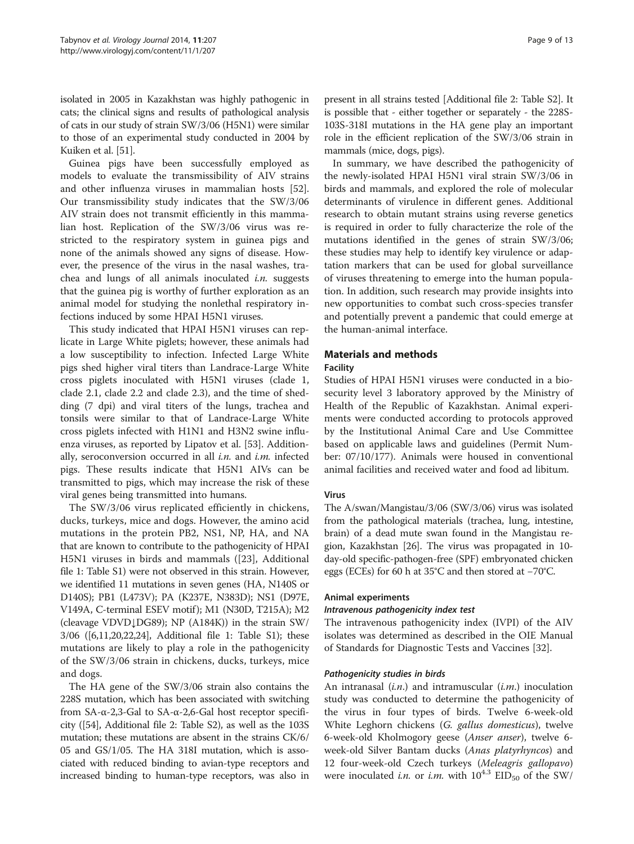isolated in 2005 in Kazakhstan was highly pathogenic in cats; the clinical signs and results of pathological analysis of cats in our study of strain SW/3/06 (H5N1) were similar to those of an experimental study conducted in 2004 by Kuiken et al. [\[51\]](#page-12-0).

Guinea pigs have been successfully employed as models to evaluate the transmissibility of AIV strains and other influenza viruses in mammalian hosts [\[52](#page-12-0)]. Our transmissibility study indicates that the SW/3/06 AIV strain does not transmit efficiently in this mammalian host. Replication of the SW/3/06 virus was restricted to the respiratory system in guinea pigs and none of the animals showed any signs of disease. However, the presence of the virus in the nasal washes, trachea and lungs of all animals inoculated  $i.n.$  suggests that the guinea pig is worthy of further exploration as an animal model for studying the nonlethal respiratory infections induced by some HPAI H5N1 viruses.

This study indicated that HPAI H5N1 viruses can replicate in Large White piglets; however, these animals had a low susceptibility to infection. Infected Large White pigs shed higher viral titers than Landrace-Large White cross piglets inoculated with H5N1 viruses (clade 1, clade 2.1, clade 2.2 and clade 2.3), and the time of shedding (7 dpi) and viral titers of the lungs, trachea and tonsils were similar to that of Landrace-Large White cross piglets infected with H1N1 and H3N2 swine influenza viruses, as reported by Lipatov et al. [[53](#page-12-0)]. Additionally, seroconversion occurred in all  $i.n.$  and  $i.m.$  infected pigs. These results indicate that H5N1 AIVs can be transmitted to pigs, which may increase the risk of these viral genes being transmitted into humans.

The SW/3/06 virus replicated efficiently in chickens, ducks, turkeys, mice and dogs. However, the amino acid mutations in the protein PB2, NS1, NP, HA, and NA that are known to contribute to the pathogenicity of HPAI H5N1 viruses in birds and mammals ([[23\]](#page-11-0), Additional file [1](#page-10-0): Table S1) were not observed in this strain. However, we identified 11 mutations in seven genes (HA, N140S or D140S); PB1 (L473V); PA (K237E, N383D); NS1 (D97E, V149A, C-terminal ESEV motif ); M1 (N30D, T215A); M2 (cleavage VDVD↓DG89); NP (A184K)) in the strain SW/ 3/06 ([[6,](#page-10-0)[11,20,22,24](#page-11-0)], Additional file [1](#page-10-0): Table S1); these mutations are likely to play a role in the pathogenicity of the SW/3/06 strain in chickens, ducks, turkeys, mice and dogs.

The HA gene of the SW/3/06 strain also contains the 228S mutation, which has been associated with switching from SA-α-2,3-Gal to SA-α-2,6-Gal host receptor specificity ([\[54\]](#page-12-0), Additional file [2](#page-10-0): Table S2), as well as the 103S mutation; these mutations are absent in the strains CK/6/ 05 and GS/1/05. The HA 318I mutation, which is associated with reduced binding to avian-type receptors and increased binding to human-type receptors, was also in present in all strains tested [Additional file [2](#page-10-0): Table S2]. It is possible that - either together or separately - the 228S-103S-318I mutations in the HA gene play an important role in the efficient replication of the SW/3/06 strain in mammals (mice, dogs, pigs).

In summary, we have described the pathogenicity of the newly-isolated HPAI H5N1 viral strain SW/3/06 in birds and mammals, and explored the role of molecular determinants of virulence in different genes. Additional research to obtain mutant strains using reverse genetics is required in order to fully characterize the role of the mutations identified in the genes of strain SW/3/06; these studies may help to identify key virulence or adaptation markers that can be used for global surveillance of viruses threatening to emerge into the human population. In addition, such research may provide insights into new opportunities to combat such cross-species transfer and potentially prevent a pandemic that could emerge at the human-animal interface.

## Materials and methods

#### Facility

Studies of HPAI H5N1 viruses were conducted in a biosecurity level 3 laboratory approved by the Ministry of Health of the Republic of Kazakhstan. Animal experiments were conducted according to protocols approved by the Institutional Animal Care and Use Committee based on applicable laws and guidelines (Permit Number: 07/10/177). Animals were housed in conventional animal facilities and received water and food ad libitum.

## Virus

The A/swan/Mangistau/3/06 (SW/3/06) virus was isolated from the pathological materials (trachea, lung, intestine, brain) of a dead mute swan found in the Mangistau region, Kazakhstan [[26](#page-11-0)]. The virus was propagated in 10 day-old specific-pathogen-free (SPF) embryonated chicken eggs (ECEs) for 60 h at 35°C and then stored at −70°C.

## Animal experiments

## Intravenous pathogenicity index test

The intravenous pathogenicity index (IVPI) of the AIV isolates was determined as described in the OIE Manual of Standards for Diagnostic Tests and Vaccines [[32](#page-11-0)].

## Pathogenicity studies in birds

An intranasal  $(i.n.)$  and intramuscular  $(i.m.)$  inoculation study was conducted to determine the pathogenicity of the virus in four types of birds. Twelve 6-week-old White Leghorn chickens (G. gallus domesticus), twelve 6-week-old Kholmogory geese (Anser anser), twelve 6 week-old Silver Bantam ducks (Anas platyrhyncos) and 12 four-week-old Czech turkeys (Meleagris gallopavo) were inoculated i.n. or i.m. with  $10^{4.3}$   $EID_{50}$  of the SW/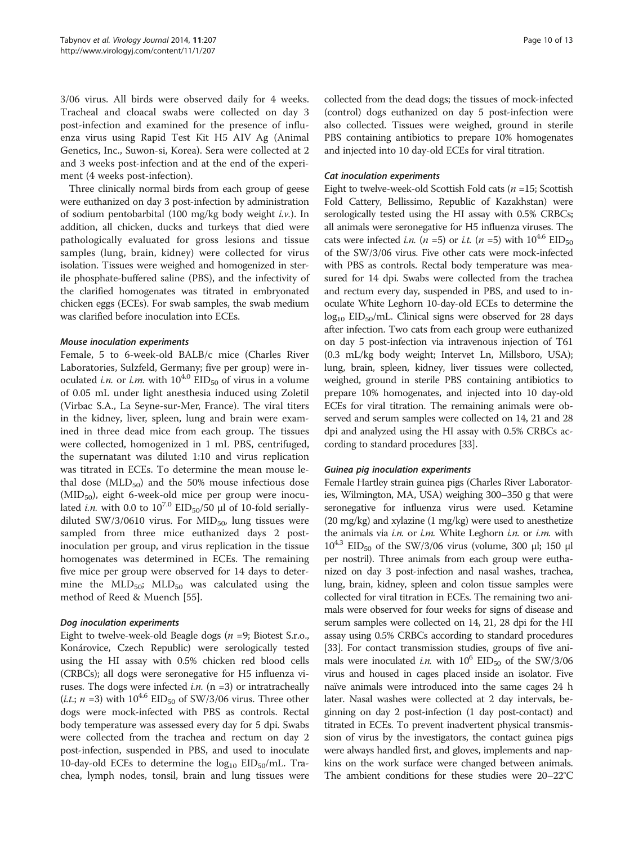3/06 virus. All birds were observed daily for 4 weeks. Tracheal and cloacal swabs were collected on day 3 post-infection and examined for the presence of influenza virus using Rapid Test Kit Н5 AIV Ag (Animal Genetics, Inc., Suwon-si, Korea). Sera were collected at 2 and 3 weeks post-infection and at the end of the experiment (4 weeks post-infection).

Three clinically normal birds from each group of geese were euthanized on day 3 post-infection by administration of sodium pentobarbital (100 mg/kg body weight i.v.). In addition, all chicken, ducks and turkeys that died were pathologically evaluated for gross lesions and tissue samples (lung, brain, kidney) were collected for virus isolation. Tissues were weighed and homogenized in sterile phosphate-buffered saline (PBS), and the infectivity of the clarified homogenates was titrated in embryonated chicken eggs (ECEs). For swab samples, the swab medium was clarified before inoculation into ECEs.

#### Mouse inoculation experiments

Female, 5 to 6-week-old BALB/c mice (Charles River Laboratories, Sulzfeld, Germany; five per group) were inoculated i.n. or i.m. with  $10^{4.0}$  EID<sub>50</sub> of virus in a volume of 0.05 mL under light anesthesia induced using Zoletil (Virbac S.A., La Seyne-sur-Mer, France). The viral titers in the kidney, liver, spleen, lung and brain were examined in three dead mice from each group. The tissues were collected, homogenized in 1 mL PBS, centrifuged, the supernatant was diluted 1:10 and virus replication was titrated in ECEs. To determine the mean mouse lethal dose  $(MLD_{50})$  and the 50% mouse infectious dose  $(MID<sub>50</sub>)$ , eight 6-week-old mice per group were inoculated *i.n.* with 0.0 to  $10^{7.0}$  EID<sub>50</sub>/50 µl of 10-fold seriallydiluted SW/3/0610 virus. For  $MID_{50}$ , lung tissues were sampled from three mice euthanized days 2 postinoculation per group, and virus replication in the tissue homogenates was determined in ECEs. The remaining five mice per group were observed for 14 days to determine the  $MLD<sub>50</sub>$ ;  $MLD<sub>50</sub>$  was calculated using the method of Reed & Muench [\[55\]](#page-12-0).

#### Dog inoculation experiments

Eight to twelve-week-old Beagle dogs ( $n = 9$ ; Biotest S.r.o., Konárovice, Czech Republic) were serologically tested using the HI assay with 0.5% chicken red blood cells (CRBCs); all dogs were seronegative for H5 influenza viruses. The dogs were infected *i.n.* ( $n = 3$ ) or intratracheally (*i.t.*;  $n = 3$ ) with  $10^{4.6}$  EID<sub>50</sub> of SW/3/06 virus. Three other dogs were mock-infected with PBS as controls. Rectal body temperature was assessed every day for 5 dpi. Swabs were collected from the trachea and rectum on day 2 post-infection, suspended in PBS, and used to inoculate 10-day-old ECEs to determine the  $log_{10}$  EID<sub>50</sub>/mL. Trachea, lymph nodes, tonsil, brain and lung tissues were collected from the dead dogs; the tissues of mock-infected (control) dogs euthanized on day 5 post-infection were also collected. Tissues were weighed, ground in sterile PBS containing antibiotics to prepare 10% homogenates and injected into 10 day-old ECEs for viral titration.

#### Cat inoculation experiments

Eight to twelve-week-old Scottish Fold cats ( $n = 15$ ; Scottish Fold Cattery, Bellissimo, Republic of Kazakhstan) were serologically tested using the HI assay with 0.5% CRBCs; all animals were seronegative for H5 influenza viruses. The cats were infected *i.n.* (*n* =5) or *i.t.* (*n* =5) with  $10^{4.6}$  EID<sub>50</sub> of the SW/3/06 virus. Five other cats were mock-infected with PBS as controls. Rectal body temperature was measured for 14 dpi. Swabs were collected from the trachea and rectum every day, suspended in PBS, and used to inoculate White Leghorn 10-day-old ECEs to determine the  $log_{10} EID_{50}/mL$ . Clinical signs were observed for 28 days after infection. Two cats from each group were euthanized on day 5 post-infection via intravenous injection of T61 (0.3 mL/kg body weight; Intervet Ln, Millsboro, USA); lung, brain, spleen, kidney, liver tissues were collected, weighed, ground in sterile PBS containing antibiotics to prepare 10% homogenates, and injected into 10 day-old ECEs for viral titration. The remaining animals were observed and serum samples were collected on 14, 21 and 28 dpi and analyzed using the HI assay with 0.5% CRBCs according to standard procedures [\[33\]](#page-11-0).

#### Guinea pig inoculation experiments

Female Hartley strain guinea pigs (Charles River Laboratories, Wilmington, MA, USA) weighing 300–350 g that were seronegative for influenza virus were used. Ketamine (20 mg/kg) and xylazine (1 mg/kg) were used to anesthetize the animals via *i.n.* or *i.m.* White Leghorn *i.n.* or *i.m.* with  $10^{4.3}$  EID<sub>50</sub> of the SW/3/06 virus (volume, 300 μl; 150 μl per nostril). Three animals from each group were euthanized on day 3 post-infection and nasal washes, trachea, lung, brain, kidney, spleen and colon tissue samples were collected for viral titration in ECEs. The remaining two animals were observed for four weeks for signs of disease and serum samples were collected on 14, 21, 28 dpi for the HI assay using 0.5% CRBCs according to standard procedures [[33](#page-11-0)]. For contact transmission studies, groups of five animals were inoculated *i.n.* with  $10^6$  EID<sub>50</sub> of the SW/3/06 virus and housed in cages placed inside an isolator. Five naïve animals were introduced into the same cages 24 h later. Nasal washes were collected at 2 day intervals, beginning on day 2 post-infection (1 day post-contact) and titrated in ECEs. To prevent inadvertent physical transmission of virus by the investigators, the contact guinea pigs were always handled first, and gloves, implements and napkins on the work surface were changed between animals. The ambient conditions for these studies were 20–22°C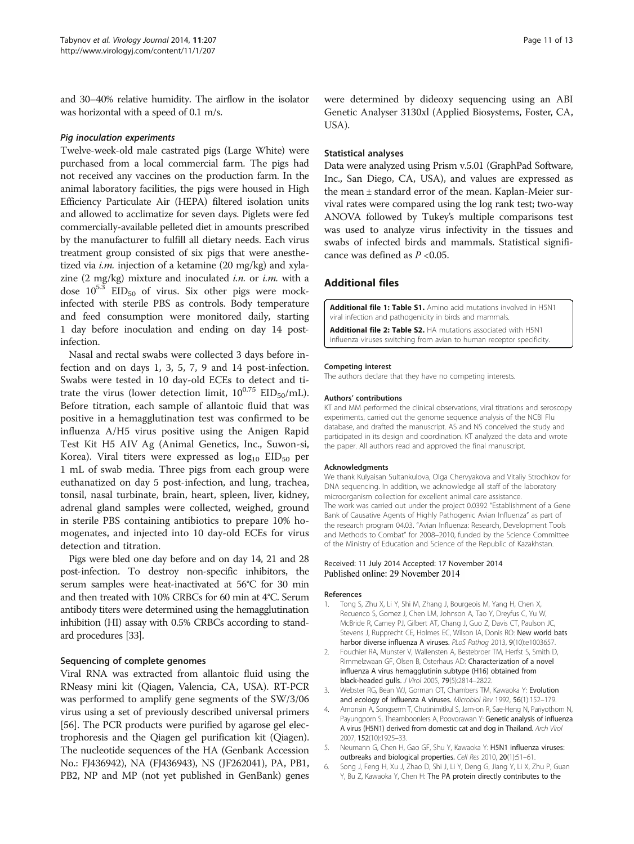<span id="page-10-0"></span>and 30–40% relative humidity. The airflow in the isolator was horizontal with a speed of 0.1 m/s.

#### Pig inoculation experiments

Twelve-week-old male castrated pigs (Large White) were purchased from a local commercial farm. The pigs had not received any vaccines on the production farm. In the animal laboratory facilities, the pigs were housed in High Efficiency Particulate Air (HEPA) filtered isolation units and allowed to acclimatize for seven days. Piglets were fed commercially-available pelleted diet in amounts prescribed by the manufacturer to fulfill all dietary needs. Each virus treatment group consisted of six pigs that were anesthetized via *i.m.* injection of a ketamine (20 mg/kg) and xylazine  $(2 \text{ mg/kg})$  mixture and inoculated *i.n.* or *i.m.* with a dose  $10^{5.3}$  EID<sub>50</sub> of virus. Six other pigs were mockinfected with sterile PBS as controls. Body temperature and feed consumption were monitored daily, starting 1 day before inoculation and ending on day 14 postinfection.

Nasal and rectal swabs were collected 3 days before infection and on days 1, 3, 5, 7, 9 and 14 post-infection. Swabs were tested in 10 day-old ECEs to detect and titrate the virus (lower detection limit,  $10^{0.75}$  EID<sub>50</sub>/mL). Before titration, each sample of allantoic fluid that was positive in a hemagglutination test was confirmed to be influenza A/H5 virus positive using the Anigen Rapid Test Kit Н5 AIV Ag (Animal Genetics, Inc., Suwon-si, Korea). Viral titers were expressed as  $log_{10} EID_{50}$  per 1 mL of swab media. Three pigs from each group were euthanatized on day 5 post-infection, and lung, trachea, tonsil, nasal turbinate, brain, heart, spleen, liver, kidney, adrenal gland samples were collected, weighed, ground in sterile PBS containing antibiotics to prepare 10% homogenates, and injected into 10 day-old ECEs for virus detection and titration.

Pigs were bled one day before and on day 14, 21 and 28 post-infection. To destroy non-specific inhibitors, the serum samples were heat-inactivated at 56°C for 30 min and then treated with 10% CRBCs for 60 min at 4°C. Serum antibody titers were determined using the hemagglutination inhibition (HI) assay with 0.5% CRBCs according to standard procedures [\[33](#page-11-0)].

#### Sequencing of complete genomes

Viral RNA was extracted from allantoic fluid using the RNeasy mini kit (Qiagen, Valencia, CA, USA). RT-PCR was performed to amplify gene segments of the SW/3/06 virus using a set of previously described universal primers [[56](#page-12-0)]. The PCR products were purified by agarose gel electrophoresis and the Qiagen gel purification kit (Qiagen). The nucleotide sequences of the HA (Genbank Accession No.: FJ436942), NA (FJ436943), NS (JF262041), PA, PB1, PB2, NP and MP (not yet published in GenBank) genes

were determined by dideoxy sequencing using an ABI Genetic Analyser 3130xl (Applied Biosystems, Foster, CA, USA).

#### Statistical analyses

Data were analyzed using Prism v.5.01 (GraphPad Software, Inc., San Diego, CA, USA), and values are expressed as the mean ± standard error of the mean. Kaplan-Meier survival rates were compared using the log rank test; two-way ANOVA followed by Tukey's multiple comparisons test was used to analyze virus infectivity in the tissues and swabs of infected birds and mammals. Statistical significance was defined as  $P < 0.05$ .

#### Additional files

[Additional file 1: Table S1.](http://www.virologyj.com/content/supplementary/s12985-014-0207-y-s1.docx) Amino acid mutations involved in H5N1 viral infection and pathogenicity in birds and mammals.

[Additional file 2: Table S2.](http://www.virologyj.com/content/supplementary/s12985-014-0207-y-s2.docx) HA mutations associated with H5N1 influenza viruses switching from avian to human receptor specificity.

#### Competing interest

The authors declare that they have no competing interests.

#### Authors' contributions

KT and MM performed the clinical observations, viral titrations and seroscopy experiments, carried out the genome sequence analysis of the NCBI Flu database, and drafted the manuscript. AS and NS conceived the study and participated in its design and coordination. KT analyzed the data and wrote the paper. All authors read and approved the final manuscript.

#### Acknowledgments

We thank Kulyaisan Sultankulova, Olga Chervyakova and Vitaliy Strochkov for DNA sequencing. In addition, we acknowledge all staff of the laboratory microorganism collection for excellent animal care assistance. The work was carried out under the project 0.0392 "Establishment of a Gene Bank of Causative Agents of Highly Pathogenic Avian Influenza" as part of the research program 04.03. "Avian Influenza: Research, Development Tools and Methods to Combat" for 2008–2010, funded by the Science Committee of the Ministry of Education and Science of the Republic of Kazakhstan.

#### Received: 11 July 2014 Accepted: 17 November 2014 Published online: 29 November 2014

#### References

- Tong S, Zhu X, Li Y, Shi M, Zhang J, Bourgeois M, Yang H, Chen X, Recuenco S, Gomez J, Chen LM, Johnson A, Tao Y, Dreyfus C, Yu W, McBride R, Carney PJ, Gilbert AT, Chang J, Guo Z, Davis CT, Paulson JC, Stevens J, Rupprecht CE, Holmes EC, Wilson IA, Donis RO: New world bats harbor diverse influenza A viruses. PLoS Pathog 2013, 9(10):e1003657.
- 2. Fouchier RA, Munster V, Wallensten A, Bestebroer TM, Herfst S, Smith D, Rimmelzwaan GF, Olsen B, Osterhaus AD: Characterization of a novel influenza A virus hemagglutinin subtype (H16) obtained from black-headed gulls. J Virol 2005, 79(5):2814–2822.
- 3. Webster RG, Bean WJ, Gorman OT, Chambers TM, Kawaoka Y: Evolution and ecology of influenza A viruses. Microbiol Rev 1992, 56(1):152–179.
- 4. Amonsin A, Songserm T, Chutinimitkul S, Jam-on R, Sae-Heng N, Pariyothorn N, Payungporn S, Theamboonlers A, Poovorawan Y: Genetic analysis of influenza A virus (H5N1) derived from domestic cat and dog in Thailand. Arch Virol 2007, 152(10):1925–33.
- 5. Neumann G, Chen H, Gao GF, Shu Y, Kawaoka Y: H5N1 influenza viruses: outbreaks and biological properties. Cell Res 2010, 20(1):51–61.
- 6. Song J, Feng H, Xu J, Zhao D, Shi J, Li Y, Deng G, Jiang Y, Li X, Zhu P, Guan Y, Bu Z, Kawaoka Y, Chen H: The PA protein directly contributes to the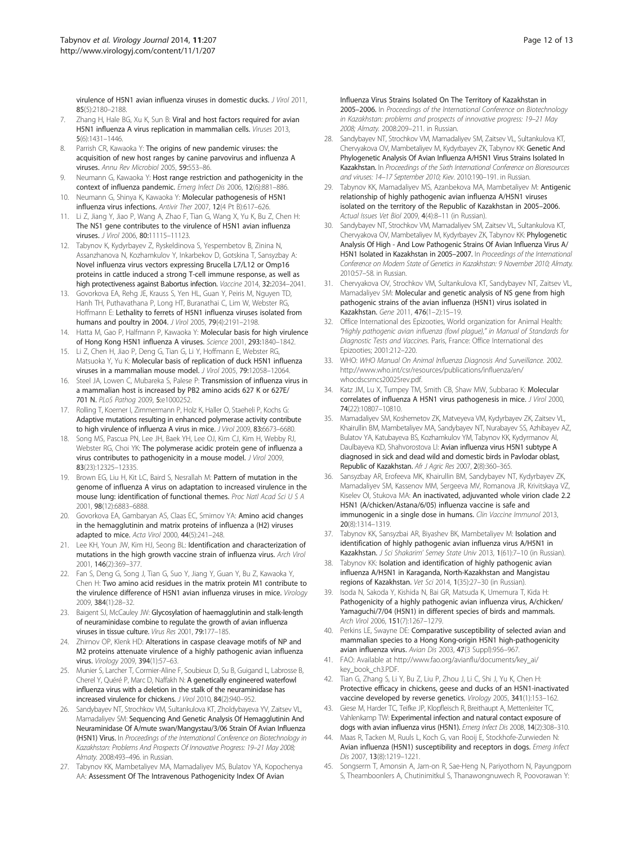<span id="page-11-0"></span>virulence of H5N1 avian influenza viruses in domestic ducks. J Virol 2011, 85(5):2180–2188.

- 7. Zhang H, Hale BG, Xu K, Sun B: Viral and host factors required for avian H5N1 influenza A virus replication in mammalian cells. Viruses 2013, 5(6):1431–1446.
- 8. Parrish CR, Kawaoka Y: The origins of new pandemic viruses: the acquisition of new host ranges by canine parvovirus and influenza A viruses. Annu Rev Microbiol 2005, 59:553–86.
- Neumann G, Kawaoka Y: Host range restriction and pathogenicity in the context of influenza pandemic. Emerg Infect Dis 2006, 12(6):881–886.
- 10. Neumann G, Shinya K, Kawaoka Y: Molecular pathogenesis of H5N1 influenza virus infections. Antivir Ther 2007, 12(4 Pt B):617–626.
- 11. Li Z, Jiang Y, Jiao P, Wang A, Zhao F, Tian G, Wang X, Yu K, Bu Z, Chen H: The NS1 gene contributes to the virulence of H5N1 avian influenza viruses. J Virol 2006, 80:11115–11123.
- 12. Tabynov K, Kydyrbayev Z, Ryskeldinova S, Yespembetov B, Zinina N, Assanzhanova N, Kozhamkulov Y, Inkarbekov D, Gotskina T, Sansyzbay A: Novel influenza virus vectors expressing Brucella L7/L12 or Omp16 proteins in cattle induced a strong T-cell immune response, as well as high protectiveness against B.abortus infection. Vaccine 2014, 32:2034–2041.
- 13. Govorkova EA, Rehg JE, Krauss S, Yen HL, Guan Y, Peiris M, Nguyen TD, Hanh TH, Puthavathana P, Long HT, Buranathai C, Lim W, Webster RG, Hoffmann E: Lethality to ferrets of H5N1 influenza viruses isolated from humans and poultry in 2004. J Virol 2005, 79(4):2191–2198.
- 14. Hatta M, Gao P, Halfmann P, Kawaoka Y: Molecular basis for high virulence of Hong Kong H5N1 influenza A viruses. Science 2001, 293:1840–1842.
- 15. Li Z, Chen H, Jiao P, Deng G, Tian G, Li Y, Hoffmann E, Webster RG, Matsuoka Y, Yu K: Molecular basis of replication of duck H5N1 influenza viruses in a mammalian mouse model. J Virol 2005, 79:12058–12064.
- 16. Steel JA, Lowen C, Mubareka S, Palese P: Transmission of influenza virus in a mammalian host is increased by PB2 amino acids 627 K or 627E/ 701 N. PLoS Pathog 2009, 5:e1000252.
- 17. Rolling T, Koerner I, Zimmermann P, Holz K, Haller O, Staeheli P, Kochs G: Adaptive mutations resulting in enhanced polymerase activity contribute to high virulence of influenza A virus in mice. J Virol 2009, 83:6673-6680.
- 18. Song MS, Pascua PN, Lee JH, Baek YH, Lee OJ, Kim CJ, Kim H, Webby RJ, Webster RG, Choi YK: The polymerase acidic protein gene of influenza a virus contributes to pathogenicity in a mouse model. J Virol 2009, 83(23):12325–12335.
- 19. Brown EG, Liu H, Kit LC, Baird S, Nesrallah M: Pattern of mutation in the genome of influenza A virus on adaptation to increased virulence in the mouse lung: identification of functional themes. Proc Natl Acad Sci U S A 2001, 98(12):6883–6888.
- 20. Govorkova EA, Gambaryan AS, Claas EC, Smirnov YA: Amino acid changes in the hemagglutinin and matrix proteins of influenza a (H2) viruses adapted to mice. Acta Virol 2000, 44(5):241–248.
- 21. Lee KH, Youn JW, Kim HJ, Seong BL: Identification and characterization of mutations in the high growth vaccine strain of influenza virus. Arch Virol 2001, 146(2):369–377.
- 22. Fan S, Deng G, Song J, Tian G, Suo Y, Jiang Y, Guan Y, Bu Z, Kawaoka Y, Chen H: Two amino acid residues in the matrix protein M1 contribute to the virulence difference of H5N1 avian influenza viruses in mice. Virology 2009, 384(1):28–32.
- 23. Baigent SJ, McCauley JW: Glycosylation of haemagglutinin and stalk-length of neuraminidase combine to regulate the growth of avian influenza viruses in tissue culture. Virus Res 2001, 79:177–185.
- 24. Zhirnov OP, Klenk HD: Alterations in caspase cleavage motifs of NP and M2 proteins attenuate virulence of a highly pathogenic avian influenza virus. Virology 2009, 394(1):57–63.
- 25. Munier S, Larcher T, Cormier-Aline F, Soubieux D, Su B, Guigand L, Labrosse B, Cherel Y, Quéré P, Marc D, Naffakh N: A genetically engineered waterfowl influenza virus with a deletion in the stalk of the neuraminidase has increased virulence for chickens. J Virol 2010, 84(2):940–952.
- 26. Sandybayev NT, Strochkov VM, Sultankulova KT, Zholdybayeva YV, Zaitsev VL, Mamadaliyev SM: Sequencing And Genetic Analysis Of Hemagglutinin And Neuraminidase Of A/mute swan/Mangystau/3/06 Strain Of Avian Influenza (H5N1) Virus. In Proceedings of the International Conference on Biotechnology in Kazakhstan: Problems And Prospects Of Innovative Progress: 19–21 May 2008; Almaty. 2008:493–496. in Russian.
- 27. Tabynov KK, Mambetaliyev MA, Mamadaliyev MS, Bulatov YA, Kopochenya AA: Assessment Of The Intravenous Pathogenicity Index Of Avian

Influenza Virus Strains Isolated On The Territory of Kazakhstan in 2005–2006. In Proceedings of the International Conference on Biotechnology in Kazakhstan: problems and prospects of innovative progress: 19–21 May 2008; Almaty. 2008:209–211. in Russian.

- 28. Sandybayev NT, Strochkov VM, Mamadaliyev SM, Zaitsev VL, Sultankulova KT, Chervyakova OV, Mambetaliyev M, Kydyrbayev ZK, Tabynov KK: Genetic And Phylogenetic Analysis Of Avian Influenza A/H5N1 Virus Strains Isolated In Kazakhstan. In Proceedings of the Sixth International Conference on Bioresources and viruses: 14–17 September 2010; Kiev. 2010:190–191. in Russian.
- 29. Tabynov KK, Mamadaliyev MS, Azanbekova MA, Mambetaliyev M: Antigenic relationship of highly pathogenic avian influenza A/H5N1 viruses isolated on the territory of the Republic of Kazakhstan in 2005–2006. Actual Issues Vet Biol 2009, 4(4):8–11 (in Russian).
- 30. Sandybayev NT, Strochkov VM, Mamadaliyev SM, Zaitsev VL, Sultankulova KT, Chervyakova OV, Mambetaliyev M, Kydyrbayev ZK, Tabynov KK: Phylogenetic Analysis Of High - And Low Pathogenic Strains Of Avian Influenza Virus A/ H5N1 Isolated in Kazakhstan in 2005–2007. In Proceedings of the International Conference on Modern State of Genetics in Kazakhstan: 9 November 2010; Almaty. 2010:57–58. in Russian.
- 31. Chervyakova OV, Strochkov VM, Sultankulova KT, Sandybayev NT, Zaitsev VL, Mamadaliyev SM: Molecular and genetic analysis of NS gene from high pathogenic strains of the avian influenza (H5N1) virus isolated in Kazakhstan. Gene 2011, 476(1–2):15–19.
- 32. Office International des Epizooties, World organization for Animal Health: "Highly pathogenic avian influenza (fowl plague)," in Manual of Standards for Diagnostic Tests and Vaccines. Paris, France: Office International des Epizooties; 2001:212–220.
- 33. WHO: WHO Manual On Animal Influenza Diagnosis And Surveillance. 2002. [http://www.who.int/csr/resources/publications/influenza/en/](http://www.who.int/csr/resources/publications/influenza/en/whocdscsrncs20025rev.pdf) [whocdscsrncs20025rev.pdf.](http://www.who.int/csr/resources/publications/influenza/en/whocdscsrncs20025rev.pdf)
- 34. Katz JM, Lu X, Tumpey TM, Smith CB, Shaw MW, Subbarao K: Molecular correlates of influenza A H5N1 virus pathogenesis in mice. J Virol 2000, 74(22):10807–10810.
- 35. Mamadaliyev SM, Koshemetov ZK, Matveyeva VM, Kydyrbayev ZK, Zaitsev VL, Khairullin BM, Mambetaliyev MA, Sandybayev NT, Nurabayev SS, Azhibayev AZ, Bulatov YA, Katubayeva BS, Kozhamkulov YM, Tabynov KK, Kydyrmanov AI, Daulbayeva KD, Shahvorostova LI: Avian influenza virus H5N1 subtype A diagnosed in sick and dead wild and domestic birds in Pavlodar oblast, Republic of Kazakhstan. Afr J Agric Res 2007, 2(8):360–365.
- 36. Sansyzbay AR, Erofeeva MK, Khairullin BM, Sandybayev NT, Kydyrbayev ZK, Mamadaliyev SM, Kassenov MM, Sergeeva MV, Romanova JR, Krivitskaya VZ, Kiselev OI, Stukova MA: An inactivated, adjuvanted whole virion clade 2.2 H5N1 (A/chicken/Astana/6/05) influenza vaccine is safe and immunogenic in a single dose in humans. Clin Vaccine Immunol 2013, 20(8):1314–1319.
- 37. Tabynov KK, Sansyzbai AR, Biyashev BK, Mambetaliyev M: Isolation and identification of highly pathogenic avian influenza virus A/H5N1 in Kazakhstan. J Sci Shakarim' Semey State Univ 2013, 1(61):7–10 (in Russian).
- 38. Tabynov KK: Isolation and identification of highly pathogenic avian influenza A/H5N1 in Karaganda, North-Kazakhstan and Mangistau regions of Kazakhstan. Vet Sci 2014, 1(35):27–30 (in Russian).
- 39. Isoda N, Sakoda Y, Kishida N, Bai GR, Matsuda K, Umemura T, Kida H: Pathogenicity of a highly pathogenic avian influenza virus, A/chicken/ Yamaguchi/7/04 (H5N1) in different species of birds and mammals. Arch Virol 2006, 151(7):1267–1279.
- 40. Perkins LE, Swayne DE: Comparative susceptibility of selected avian and mammalian species to a Hong Kong-origin H5N1 high-pathogenicity avian influenza virus. Avian Dis 2003, 47(3 Suppl):956–967.
- 41. FAO: Available at [http://www.fao.org/avianflu/documents/key\\_ai/](http://www.fao.org/avianflu/documents/key_ai/key_book_ch3.PDF) [key\\_book\\_ch3.PDF.](http://www.fao.org/avianflu/documents/key_ai/key_book_ch3.PDF)
- 42. Tian G, Zhang S, Li Y, Bu Z, Liu P, Zhou J, Li C, Shi J, Yu K, Chen H: Protective efficacy in chickens, geese and ducks of an H5N1-inactivated vaccine developed by reverse genetics. Virology 2005, 341(1):153–162.
- Giese M, Harder TC, Teifke JP, Klopfleisch R, Breithaupt A, Mettenleiter TC, Vahlenkamp TW: Experimental infection and natural contact exposure of dogs with avian influenza virus (H5N1). Emerg Infect Dis 2008, 14(2):308–310.
- 44. Maas R, Tacken M, Ruuls L, Koch G, van Rooij E, Stockhofe-Zurwieden N: Avian influenza (H5N1) susceptibility and receptors in dogs. Emerg Infect Dis 2007, 13(8):1219–1221.
- 45. Songserm T, Amonsin A, Jam-on R, Sae-Heng N, Pariyothorn N, Payungporn S, Theamboonlers A, Chutinimitkul S, Thanawongnuwech R, Poovorawan Y: